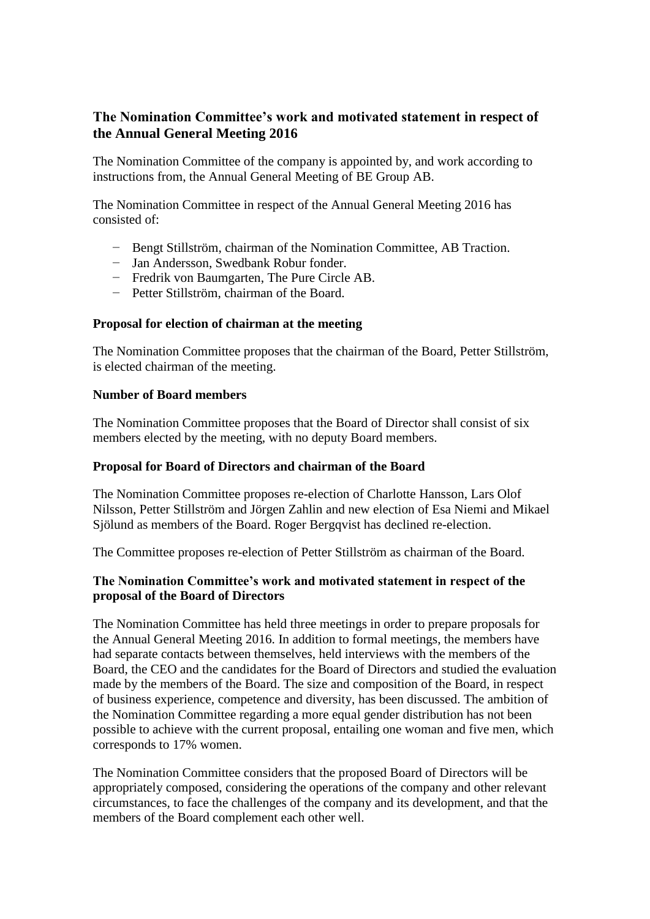# **The Nomination Committee's work and motivated statement in respect of the Annual General Meeting 2016**

The Nomination Committee of the company is appointed by, and work according to instructions from, the Annual General Meeting of BE Group AB.

The Nomination Committee in respect of the Annual General Meeting 2016 has consisted of:

- − Bengt Stillström, chairman of the Nomination Committee, AB Traction.
- − Jan Andersson, Swedbank Robur fonder.
- − Fredrik von Baumgarten, The Pure Circle AB.
- − Petter Stillström, chairman of the Board.

#### **Proposal for election of chairman at the meeting**

The Nomination Committee proposes that the chairman of the Board, Petter Stillström, is elected chairman of the meeting.

#### **Number of Board members**

The Nomination Committee proposes that the Board of Director shall consist of six members elected by the meeting, with no deputy Board members.

### **Proposal for Board of Directors and chairman of the Board**

The Nomination Committee proposes re-election of Charlotte Hansson, Lars Olof Nilsson, Petter Stillström and Jörgen Zahlin and new election of Esa Niemi and Mikael Sjölund as members of the Board. Roger Bergqvist has declined re-election.

The Committee proposes re-election of Petter Stillström as chairman of the Board.

## **The Nomination Committee's work and motivated statement in respect of the proposal of the Board of Directors**

The Nomination Committee has held three meetings in order to prepare proposals for the Annual General Meeting 2016. In addition to formal meetings, the members have had separate contacts between themselves, held interviews with the members of the Board, the CEO and the candidates for the Board of Directors and studied the evaluation made by the members of the Board. The size and composition of the Board, in respect of business experience, competence and diversity, has been discussed. The ambition of the Nomination Committee regarding a more equal gender distribution has not been possible to achieve with the current proposal, entailing one woman and five men, which corresponds to 17% women.

The Nomination Committee considers that the proposed Board of Directors will be appropriately composed, considering the operations of the company and other relevant circumstances, to face the challenges of the company and its development, and that the members of the Board complement each other well.